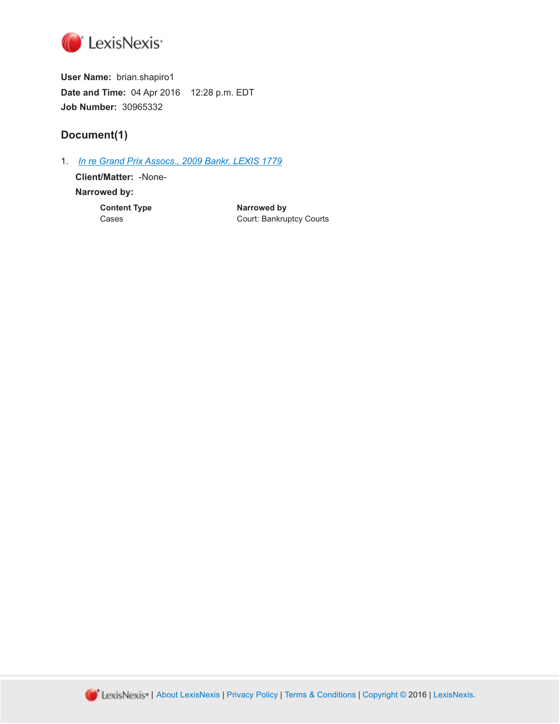

**User Name:** brian.shapiro1 **Date and Time:** 04 Apr 2016 12:28 p.m. EDT **Job Number:** 30965332

# **Document(1)**

1. *[In re Grand Prix Assocs., 2009 Bankr. LEXIS 1779](http://advance.lexis.com/api/document?id=urn:contentItem:4WS3-GWV0-TXFM-C395-00000-00&idtype=PID&context=1000516)*

**Client/Matter:** -None-**Narrowed by:**

**Content Type Cases Content Type Narrowed by**<br>Cases Court: Bankru Court: Bankruptcy Courts

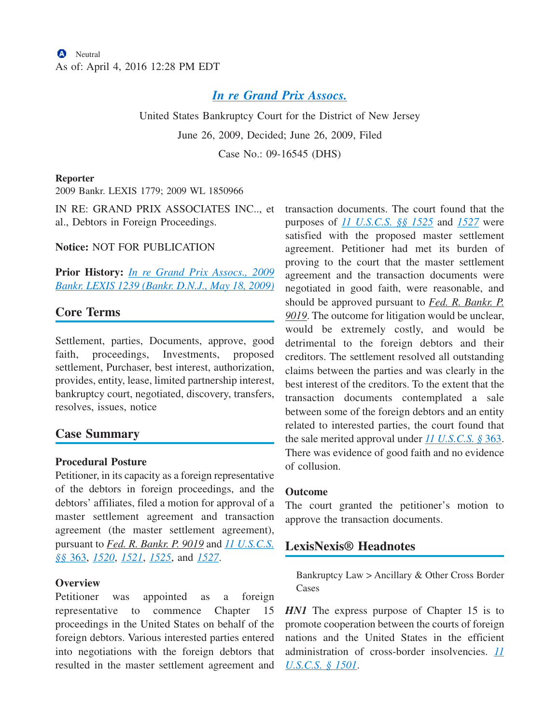# *[In re Grand Prix Assocs.](http://advance.lexis.com/api/document?collection=cases&id=urn:contentItem:4WS3-GWV0-TXFM-C395-00000-00&context=1000516)*

United States Bankruptcy Court for the District of New Jersey

June 26, 2009, Decided; June 26, 2009, Filed

Case No.: 09-16545 (DHS)

#### **Reporter**

2009 Bankr. LEXIS 1779; 2009 WL 1850966

IN RE: GRAND PRIX ASSOCIATES INC.., et al., Debtors in Foreign Proceedings.

**Notice:** NOT FOR PUBLICATION

**Prior History:** *[In re Grand Prix Assocs., 2009](http://advance.lexis.com/api/document?collection=cases&id=urn:contentItem:4WFT-4S40-TXFM-C3F2-00000-00&context=1000516) [Bankr. LEXIS 1239 \(Bankr. D.N.J., May 18, 2009\)](http://advance.lexis.com/api/document?collection=cases&id=urn:contentItem:4WFT-4S40-TXFM-C3F2-00000-00&context=1000516)*

# **Core Terms**

Settlement, parties, Documents, approve, good faith, proceedings, Investments, proposed settlement, Purchaser, best interest, authorization, provides, entity, lease, limited partnership interest, bankruptcy court, negotiated, discovery, transfers, resolves, issues, notice

## **Case Summary**

### **Procedural Posture**

Petitioner, in its capacity as a foreign representative of the debtors in foreign proceedings, and the debtors' affiliates, filed a motion for approval of a master settlement agreement and transaction agreement (the master settlement agreement), pursuant to *Fed. R. Bankr. P. 9019* and *[11 U.S.C.S.](http://advance.lexis.com/api/document?collection=statutes-legislation&id=urn:contentItem:4YF7-GRG1-NRF4-43FD-00000-00&context=1000516) §§* [363,](http://advance.lexis.com/api/document?collection=statutes-legislation&id=urn:contentItem:4YF7-GRG1-NRF4-43FD-00000-00&context=1000516) *[1520](http://advance.lexis.com/api/document?collection=statutes-legislation&id=urn:contentItem:4YF7-GJ41-NRF4-428B-00000-00&context=1000516)*, *[1521](http://advance.lexis.com/api/document?collection=statutes-legislation&id=urn:contentItem:4YF7-GMH1-NRF4-452N-00000-00&context=1000516)*, *[1525](http://advance.lexis.com/api/document?collection=statutes-legislation&id=urn:contentItem:4YF7-GK11-NRF4-40TY-00000-00&context=1000516)*, and *[1527](http://advance.lexis.com/api/document?collection=statutes-legislation&id=urn:contentItem:4YF7-GPT1-NRF4-41VK-00000-00&context=1000516)*.

### **Overview**

Petitioner was appointed as a foreign representative to commence Chapter 15 proceedings in the United States on behalf of the foreign debtors. Various interested parties entered into negotiations with the foreign debtors that resulted in the master settlement agreement and transaction documents. The court found that the purposes of *[11 U.S.C.S. §§ 1525](http://advance.lexis.com/api/document?collection=statutes-legislation&id=urn:contentItem:4YF7-GK11-NRF4-40TY-00000-00&context=1000516)* and *[1527](http://advance.lexis.com/api/document?collection=statutes-legislation&id=urn:contentItem:4YF7-GPT1-NRF4-41VK-00000-00&context=1000516)* were satisfied with the proposed master settlement agreement. Petitioner had met its burden of proving to the court that the master settlement agreement and the transaction documents were negotiated in good faith, were reasonable, and should be approved pursuant to *Fed. R. Bankr. P. 9019*. The outcome for litigation would be unclear, would be extremely costly, and would be detrimental to the foreign debtors and their creditors. The settlement resolved all outstanding claims between the parties and was clearly in the best interest of the creditors. To the extent that the transaction documents contemplated a sale between some of the foreign debtors and an entity related to interested parties, the court found that the sale merited approval under *[11 U.S.C.S. §](http://advance.lexis.com/api/document?collection=statutes-legislation&id=urn:contentItem:4YF7-GRG1-NRF4-43FD-00000-00&context=1000516)* 363. There was evidence of good faith and no evidence of collusion.

### **Outcome**

The court granted the petitioner's motion to approve the transaction documents.

## **LexisNexis® Headnotes**

Bankruptcy Law > Ancillary & Other Cross Border Cases

*HN1* The express purpose of Chapter 15 is to promote cooperation between the courts of foreign nations and the United States in the efficient administration of cross-border insolvencies. *[11](http://advance.lexis.com/api/document?collection=statutes-legislation&id=urn:contentItem:4YF7-GJJ1-NRF4-41HW-00000-00&context=1000516) [U.S.C.S. § 1501](http://advance.lexis.com/api/document?collection=statutes-legislation&id=urn:contentItem:4YF7-GJJ1-NRF4-41HW-00000-00&context=1000516)*.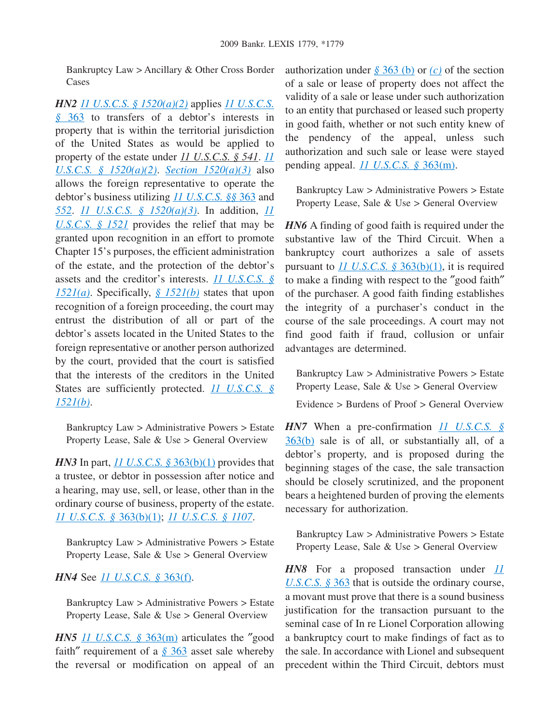Bankruptcy Law > Ancillary & Other Cross Border Cases

*HN2 [11 U.S.C.S. § 1520\(a\)\(2\)](http://advance.lexis.com/api/document?collection=statutes-legislation&id=urn:contentItem:4YF7-GJ41-NRF4-428B-00000-00&context=1000516)* applies *[11 U.S.C.S.](http://advance.lexis.com/api/document?collection=statutes-legislation&id=urn:contentItem:4YF7-GRG1-NRF4-43FD-00000-00&context=1000516) §* [363](http://advance.lexis.com/api/document?collection=statutes-legislation&id=urn:contentItem:4YF7-GRG1-NRF4-43FD-00000-00&context=1000516) to transfers of a debtor's interests in property that is within the territorial jurisdiction of the United States as would be applied to property of the estate under *11 U.S.C.S. § 541*. *[11](http://advance.lexis.com/api/document?collection=statutes-legislation&id=urn:contentItem:4YF7-GJ41-NRF4-428B-00000-00&context=1000516) [U.S.C.S. § 1520\(a\)\(2\)](http://advance.lexis.com/api/document?collection=statutes-legislation&id=urn:contentItem:4YF7-GJ41-NRF4-428B-00000-00&context=1000516)*. *[Section 1520\(a\)\(3\)](http://advance.lexis.com/api/document?collection=statutes-legislation&id=urn:contentItem:4YF7-GJ41-NRF4-428B-00000-00&context=1000516)* also allows the foreign representative to operate the debtor's business utilizing *[11 U.S.C.S. §§](http://advance.lexis.com/api/document?collection=statutes-legislation&id=urn:contentItem:4YF7-GRG1-NRF4-43FD-00000-00&context=1000516)* 363 and *[552](http://advance.lexis.com/api/document?collection=statutes-legislation&id=urn:contentItem:4YF7-GJB1-NRF4-44K7-00000-00&context=1000516)*. *[11 U.S.C.S. § 1520\(a\)\(3\)](http://advance.lexis.com/api/document?collection=statutes-legislation&id=urn:contentItem:4YF7-GJ41-NRF4-428B-00000-00&context=1000516)*. In addition, *[11](http://advance.lexis.com/api/document?collection=statutes-legislation&id=urn:contentItem:4YF7-GMH1-NRF4-452N-00000-00&context=1000516) [U.S.C.S. § 1521](http://advance.lexis.com/api/document?collection=statutes-legislation&id=urn:contentItem:4YF7-GMH1-NRF4-452N-00000-00&context=1000516)* provides the relief that may be granted upon recognition in an effort to promote Chapter 15's purposes, the efficient administration of the estate, and the protection of the debtor's assets and the creditor's interests. *[11 U.S.C.S. §](http://advance.lexis.com/api/document?collection=statutes-legislation&id=urn:contentItem:4YF7-GMH1-NRF4-452N-00000-00&context=1000516) [1521\(a\)](http://advance.lexis.com/api/document?collection=statutes-legislation&id=urn:contentItem:4YF7-GMH1-NRF4-452N-00000-00&context=1000516)*. Specifically, *[§ 1521\(b\)](http://advance.lexis.com/api/document?collection=statutes-legislation&id=urn:contentItem:4YF7-GMH1-NRF4-452N-00000-00&context=1000516)* states that upon recognition of a foreign proceeding, the court may entrust the distribution of all or part of the debtor's assets located in the United States to the foreign representative or another person authorized by the court, provided that the court is satisfied that the interests of the creditors in the United States are sufficiently protected. *[11 U.S.C.S. §](http://advance.lexis.com/api/document?collection=statutes-legislation&id=urn:contentItem:4YF7-GMH1-NRF4-452N-00000-00&context=1000516) [1521\(b\)](http://advance.lexis.com/api/document?collection=statutes-legislation&id=urn:contentItem:4YF7-GMH1-NRF4-452N-00000-00&context=1000516)*.

Bankruptcy Law > Administrative Powers > Estate Property Lease, Sale & Use > General Overview

*HN3* In part, <u>[11 U.S.C.S. §](http://advance.lexis.com/api/document?collection=statutes-legislation&id=urn:contentItem:4YF7-GRG1-NRF4-43FD-00000-00&context=1000516) 363(b)(1)</u> provides that a trustee, or debtor in possession after notice and a hearing, may use, sell, or lease, other than in the ordinary course of business, property of the estate. *[11 U.S.C.S. §](http://advance.lexis.com/api/document?collection=statutes-legislation&id=urn:contentItem:4YF7-GRG1-NRF4-43FD-00000-00&context=1000516)* 363(b)(1); *[11 U.S.C.S. § 1107](http://advance.lexis.com/api/document?collection=statutes-legislation&id=urn:contentItem:4YF7-GWN1-NRF4-42TR-00000-00&context=1000516)*.

Bankruptcy Law > Administrative Powers > Estate Property Lease, Sale & Use > General Overview

### *HN4* See *[11 U.S.C.S. §](http://advance.lexis.com/api/document?collection=statutes-legislation&id=urn:contentItem:4YF7-GRG1-NRF4-43FD-00000-00&context=1000516)* 363(f).

Bankruptcy Law > Administrative Powers > Estate Property Lease, Sale & Use > General Overview

*HN5 11 U.S.C.S.* § 363(m) articulates the "good faith″ requirement of a *§* [363](http://advance.lexis.com/api/document?collection=statutes-legislation&id=urn:contentItem:4YF7-GRG1-NRF4-43FD-00000-00&context=1000516) asset sale whereby the reversal or modification on appeal of an authorization under *§* [363 \(b\)](http://advance.lexis.com/api/document?collection=statutes-legislation&id=urn:contentItem:4YF7-GRG1-NRF4-43FD-00000-00&context=1000516) or *[\(c\)](http://advance.lexis.com/api/document?collection=statutes-legislation&id=urn:contentItem:4YF7-GRG1-NRF4-43FD-00000-00&context=1000516)* of the section of a sale or lease of property does not affect the validity of a sale or lease under such authorization to an entity that purchased or leased such property in good faith, whether or not such entity knew of the pendency of the appeal, unless such authorization and such sale or lease were stayed pending appeal. *[11 U.S.C.S. §](http://advance.lexis.com/api/document?collection=statutes-legislation&id=urn:contentItem:4YF7-GRG1-NRF4-43FD-00000-00&context=1000516)* 363(m).

Bankruptcy Law > Administrative Powers > Estate Property Lease, Sale & Use > General Overview

*HN6* A finding of good faith is required under the substantive law of the Third Circuit. When a bankruptcy court authorizes a sale of assets pursuant to *[11 U.S.C.S. §](http://advance.lexis.com/api/document?collection=statutes-legislation&id=urn:contentItem:4YF7-GRG1-NRF4-43FD-00000-00&context=1000516)* 363(b)(1), it is required to make a finding with respect to the ″good faith″ of the purchaser. A good faith finding establishes the integrity of a purchaser's conduct in the course of the sale proceedings. A court may not find good faith if fraud, collusion or unfair advantages are determined.

Bankruptcy Law > Administrative Powers > Estate Property Lease, Sale & Use > General Overview

Evidence > Burdens of Proof > General Overview

*HN7* When a pre-confirmation *[11 U.S.C.S. §](http://advance.lexis.com/api/document?collection=statutes-legislation&id=urn:contentItem:4YF7-GRG1-NRF4-43FD-00000-00&context=1000516)* [363\(b\)](http://advance.lexis.com/api/document?collection=statutes-legislation&id=urn:contentItem:4YF7-GRG1-NRF4-43FD-00000-00&context=1000516) sale is of all, or substantially all, of a debtor's property, and is proposed during the beginning stages of the case, the sale transaction should be closely scrutinized, and the proponent bears a heightened burden of proving the elements necessary for authorization.

Bankruptcy Law > Administrative Powers > Estate Property Lease, Sale & Use > General Overview

*HN8* For a proposed transaction under *[11](http://advance.lexis.com/api/document?collection=statutes-legislation&id=urn:contentItem:4YF7-GRG1-NRF4-43FD-00000-00&context=1000516) [U.S.C.S. §](http://advance.lexis.com/api/document?collection=statutes-legislation&id=urn:contentItem:4YF7-GRG1-NRF4-43FD-00000-00&context=1000516)* 363 that is outside the ordinary course, a movant must prove that there is a sound business justification for the transaction pursuant to the seminal case of In re Lionel Corporation allowing a bankruptcy court to make findings of fact as to the sale. In accordance with Lionel and subsequent precedent within the Third Circuit, debtors must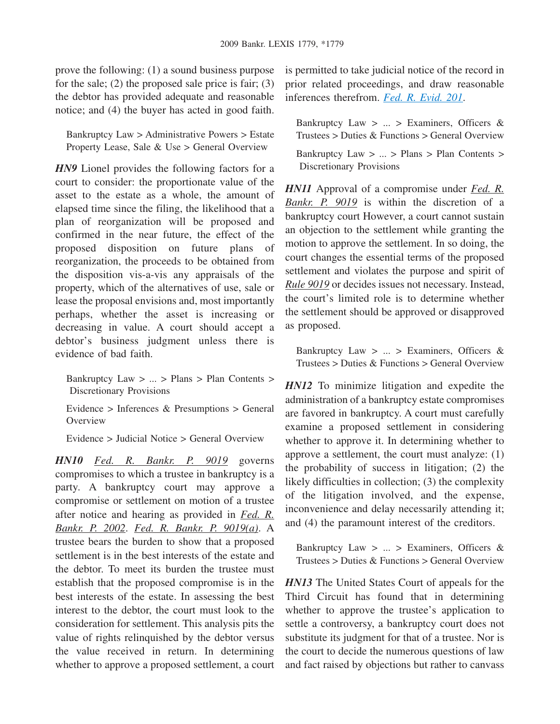prove the following: (1) a sound business purpose for the sale;  $(2)$  the proposed sale price is fair;  $(3)$ the debtor has provided adequate and reasonable notice; and (4) the buyer has acted in good faith.

Bankruptcy Law > Administrative Powers > Estate Property Lease, Sale & Use > General Overview

*HN9* Lionel provides the following factors for a court to consider: the proportionate value of the asset to the estate as a whole, the amount of elapsed time since the filing, the likelihood that a plan of reorganization will be proposed and confirmed in the near future, the effect of the proposed disposition on future plans of reorganization, the proceeds to be obtained from the disposition vis-a-vis any appraisals of the property, which of the alternatives of use, sale or lease the proposal envisions and, most importantly perhaps, whether the asset is increasing or decreasing in value. A court should accept a debtor's business judgment unless there is evidence of bad faith.

Bankruptcy Law > ... > Plans > Plan Contents > Discretionary Provisions

Evidence > Inferences & Presumptions > General **Overview** 

Evidence > Judicial Notice > General Overview

*HN10 Fed. R. Bankr. P. 9019* governs compromises to which a trustee in bankruptcy is a party. A bankruptcy court may approve a compromise or settlement on motion of a trustee after notice and hearing as provided in *Fed. R. Bankr. P. 2002*. *Fed. R. Bankr. P. 9019(a)*. A trustee bears the burden to show that a proposed settlement is in the best interests of the estate and the debtor. To meet its burden the trustee must establish that the proposed compromise is in the best interests of the estate. In assessing the best interest to the debtor, the court must look to the consideration for settlement. This analysis pits the value of rights relinquished by the debtor versus the value received in return. In determining whether to approve a proposed settlement, a court is permitted to take judicial notice of the record in prior related proceedings, and draw reasonable inferences therefrom. *[Fed. R. Evid. 201](http://advance.lexis.com/api/document?collection=statutes-legislation&id=urn:contentItem:4YF7-GM41-NRF4-4120-00000-00&context=1000516)*.

Bankruptcy Law  $> ... >$  Examiners, Officers & Trustees > Duties & Functions > General Overview

Bankruptcy Law > ... > Plans > Plan Contents > Discretionary Provisions

*HN11* Approval of a compromise under *Fed. R. Bankr. P. 9019* is within the discretion of a bankruptcy court However, a court cannot sustain an objection to the settlement while granting the motion to approve the settlement. In so doing, the court changes the essential terms of the proposed settlement and violates the purpose and spirit of *Rule 9019* or decides issues not necessary. Instead, the court's limited role is to determine whether the settlement should be approved or disapproved as proposed.

Bankruptcy Law  $> ... >$  Examiners, Officers & Trustees > Duties & Functions > General Overview

*HN12* To minimize litigation and expedite the administration of a bankruptcy estate compromises are favored in bankruptcy. A court must carefully examine a proposed settlement in considering whether to approve it. In determining whether to approve a settlement, the court must analyze: (1) the probability of success in litigation; (2) the likely difficulties in collection; (3) the complexity of the litigation involved, and the expense, inconvenience and delay necessarily attending it; and (4) the paramount interest of the creditors.

Bankruptcy Law  $> ... >$  Examiners, Officers & Trustees  $>$  Duties  $\&$  Functions  $>$  General Overview

*HN13* The United States Court of appeals for the Third Circuit has found that in determining whether to approve the trustee's application to settle a controversy, a bankruptcy court does not substitute its judgment for that of a trustee. Nor is the court to decide the numerous questions of law and fact raised by objections but rather to canvass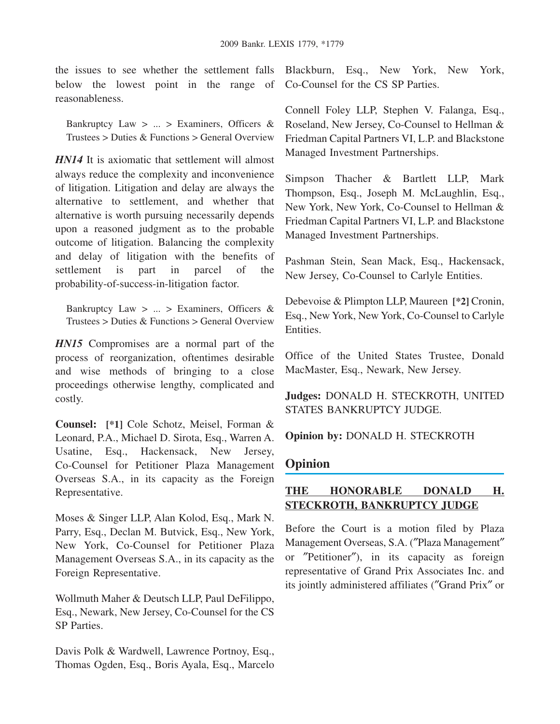the issues to see whether the settlement falls Blackburn, Esq., New York, New York, below the lowest point in the range of Co-Counsel for the CS SP Parties. reasonableness.

Bankruptcy Law > ... > Examiners, Officers & Trustees > Duties & Functions > General Overview

*HN14* It is axiomatic that settlement will almost always reduce the complexity and inconvenience of litigation. Litigation and delay are always the alternative to settlement, and whether that alternative is worth pursuing necessarily depends upon a reasoned judgment as to the probable outcome of litigation. Balancing the complexity and delay of litigation with the benefits of settlement is part in parcel of the probability-of-success-in-litigation factor.

Bankruptcy Law  $> ... >$  Examiners, Officers & Trustees > Duties & Functions > General Overview

*HN15* Compromises are a normal part of the process of reorganization, oftentimes desirable and wise methods of bringing to a close proceedings otherwise lengthy, complicated and costly.

**Counsel: [\*1]** Cole Schotz, Meisel, Forman & Leonard, P.A., Michael D. Sirota, Esq., Warren A. Usatine, Esq., Hackensack, New Jersey, Co-Counsel for Petitioner Plaza Management Overseas S.A., in its capacity as the Foreign Representative.

Moses & Singer LLP, Alan Kolod, Esq., Mark N. Parry, Esq., Declan M. Butvick, Esq., New York, New York, Co-Counsel for Petitioner Plaza Management Overseas S.A., in its capacity as the Foreign Representative.

Wollmuth Maher & Deutsch LLP, Paul DeFilippo, Esq., Newark, New Jersey, Co-Counsel for the CS SP Parties.

Davis Polk & Wardwell, Lawrence Portnoy, Esq., Thomas Ogden, Esq., Boris Ayala, Esq., Marcelo

Connell Foley LLP, Stephen V. Falanga, Esq., Roseland, New Jersey, Co-Counsel to Hellman & Friedman Capital Partners VI, L.P. and Blackstone Managed Investment Partnerships.

Simpson Thacher & Bartlett LLP, Mark Thompson, Esq., Joseph M. McLaughlin, Esq., New York, New York, Co-Counsel to Hellman & Friedman Capital Partners VI, L.P. and Blackstone Managed Investment Partnerships.

Pashman Stein, Sean Mack, Esq., Hackensack, New Jersey, Co-Counsel to Carlyle Entities.

Debevoise & Plimpton LLP, Maureen **[\*2]** Cronin, Esq., New York, New York, Co-Counsel to Carlyle Entities.

Office of the United States Trustee, Donald MacMaster, Esq., Newark, New Jersey.

**Judges:** DONALD H. STECKROTH, UNITED STATES BANKRUPTCY JUDGE.

**Opinion by:** DONALD H. STECKROTH

# **Opinion**

# **THE HONORABLE DONALD H. STECKROTH, BANKRUPTCY JUDGE**

Before the Court is a motion filed by Plaza Management Overseas, S.A. (″Plaza Management″ or ″Petitioner″), in its capacity as foreign representative of Grand Prix Associates Inc. and its jointly administered affiliates (″Grand Prix″ or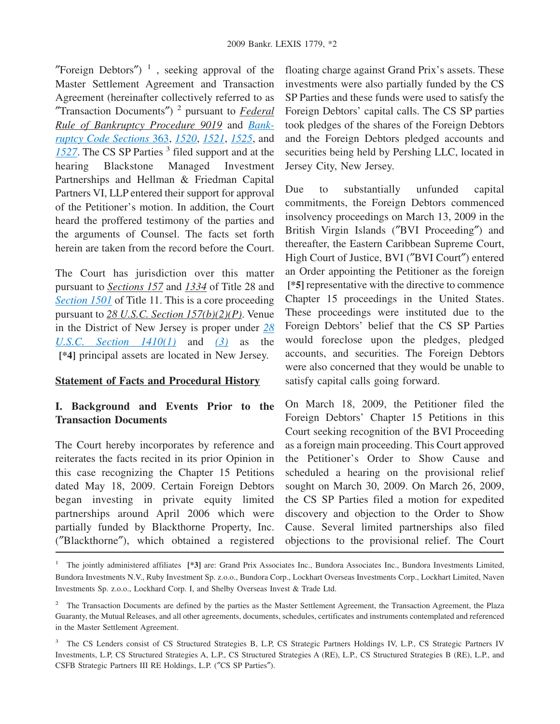"Foreign Debtors")<sup>1</sup>, seeking approval of the Master Settlement Agreement and Transaction Agreement (hereinafter collectively referred to as ″Transaction Documents″) 2 pursuant to *Federal Rule of Bankruptcy Procedure 9019* and *[Bank](http://advance.lexis.com/api/document?collection=statutes-legislation&id=urn:contentItem:4YF7-GRG1-NRF4-43FD-00000-00&context=1000516)[ruptcy Code Sections](http://advance.lexis.com/api/document?collection=statutes-legislation&id=urn:contentItem:4YF7-GRG1-NRF4-43FD-00000-00&context=1000516)* 363, *[1520](http://advance.lexis.com/api/document?collection=statutes-legislation&id=urn:contentItem:4YF7-GJ41-NRF4-428B-00000-00&context=1000516)*, *[1521](http://advance.lexis.com/api/document?collection=statutes-legislation&id=urn:contentItem:4YF7-GMH1-NRF4-452N-00000-00&context=1000516)*, *[1525](http://advance.lexis.com/api/document?collection=statutes-legislation&id=urn:contentItem:4YF7-GK11-NRF4-40TY-00000-00&context=1000516)*, and [1527](http://advance.lexis.com/api/document?collection=statutes-legislation&id=urn:contentItem:4YF7-GPT1-NRF4-41VK-00000-00&context=1000516). The CS SP Parties<sup>3</sup> filed support and at the hearing Blackstone Managed Investment Partnerships and Hellman & Friedman Capital Partners VI, LLP entered their support for approval of the Petitioner's motion. In addition, the Court heard the proffered testimony of the parties and the arguments of Counsel. The facts set forth herein are taken from the record before the Court.

The Court has jurisdiction over this matter pursuant to *Sections 157* and *1334* of Title 28 and *[Section 1501](http://advance.lexis.com/api/document?collection=statutes-legislation&id=urn:contentItem:4YF7-GJJ1-NRF4-41HW-00000-00&context=1000516)* of Title 11. This is a core proceeding pursuant to *28 U.S.C. Section 157(b)(2)(P)*. Venue in the District of New Jersey is proper under *[28](http://advance.lexis.com/api/document?collection=statutes-legislation&id=urn:contentItem:4YF7-GMC1-NRF4-43V1-00000-00&context=1000516) [U.S.C. Section 1410\(1\)](http://advance.lexis.com/api/document?collection=statutes-legislation&id=urn:contentItem:4YF7-GMC1-NRF4-43V1-00000-00&context=1000516)* and *[\(3\)](http://advance.lexis.com/api/document?collection=statutes-legislation&id=urn:contentItem:4YF7-GMC1-NRF4-43V1-00000-00&context=1000516)* as the **[\*4]** principal assets are located in New Jersey.

### **Statement of Facts and Procedural History**

## **I. Background and Events Prior to the Transaction Documents**

The Court hereby incorporates by reference and reiterates the facts recited in its prior Opinion in this case recognizing the Chapter 15 Petitions dated May 18, 2009. Certain Foreign Debtors began investing in private equity limited partnerships around April 2006 which were partially funded by Blackthorne Property, Inc. (″Blackthorne″), which obtained a registered

floating charge against Grand Prix's assets. These investments were also partially funded by the CS SP Parties and these funds were used to satisfy the Foreign Debtors' capital calls. The CS SP parties took pledges of the shares of the Foreign Debtors and the Foreign Debtors pledged accounts and securities being held by Pershing LLC, located in Jersey City, New Jersey.

Due to substantially unfunded capital commitments, the Foreign Debtors commenced insolvency proceedings on March 13, 2009 in the British Virgin Islands (″BVI Proceeding″) and thereafter, the Eastern Caribbean Supreme Court, High Court of Justice, BVI (″BVI Court″) entered an Order appointing the Petitioner as the foreign **[\*5]** representative with the directive to commence Chapter 15 proceedings in the United States. These proceedings were instituted due to the Foreign Debtors' belief that the CS SP Parties would foreclose upon the pledges, pledged accounts, and securities. The Foreign Debtors were also concerned that they would be unable to satisfy capital calls going forward.

On March 18, 2009, the Petitioner filed the Foreign Debtors' Chapter 15 Petitions in this Court seeking recognition of the BVI Proceeding as a foreign main proceeding. This Court approved the Petitioner's Order to Show Cause and scheduled a hearing on the provisional relief sought on March 30, 2009. On March 26, 2009, the CS SP Parties filed a motion for expedited discovery and objection to the Order to Show Cause. Several limited partnerships also filed objections to the provisional relief. The Court

<sup>&</sup>lt;sup>1</sup> The jointly administered affiliates [\*3] are: Grand Prix Associates Inc., Bundora Associates Inc., Bundora Investments Limited, Bundora Investments N.V., Ruby Investment Sp. z.o.o., Bundora Corp., Lockhart Overseas Investments Corp., Lockhart Limited, Naven Investments Sp. z.o.o., Lockhard Corp. I, and Shelby Overseas Invest & Trade Ltd.

<sup>&</sup>lt;sup>2</sup> The Transaction Documents are defined by the parties as the Master Settlement Agreement, the Transaction Agreement, the Plaza Guaranty, the Mutual Releases, and all other agreements, documents, schedules, certificates and instruments contemplated and referenced in the Master Settlement Agreement.

<sup>&</sup>lt;sup>3</sup> The CS Lenders consist of CS Structured Strategies B, L.P, CS Strategic Partners Holdings IV, L.P., CS Strategic Partners IV Investments, L.P, CS Structured Strategies A, L.P., CS Structured Strategies A (RE), L.P., CS Structured Strategies B (RE), L.P., and CSFB Strategic Partners III RE Holdings, L.P. (″CS SP Parties″).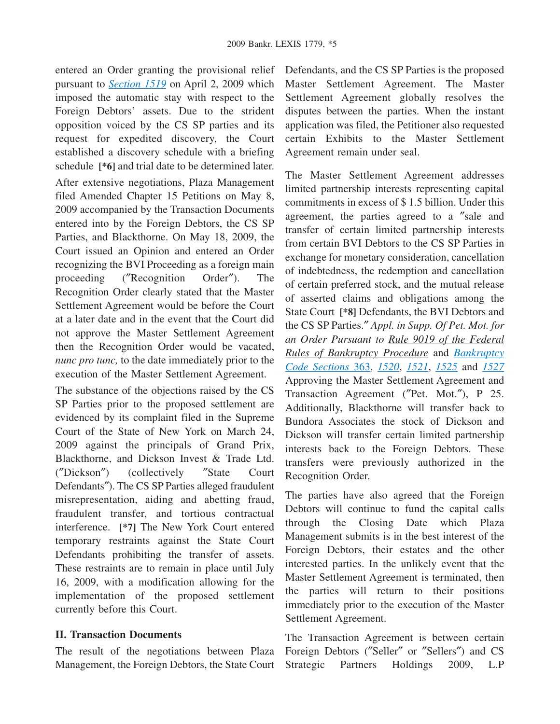entered an Order granting the provisional relief pursuant to *[Section 1519](http://advance.lexis.com/api/document?collection=statutes-legislation&id=urn:contentItem:4YF7-GM61-NRF4-41VF-00000-00&context=1000516)* on April 2, 2009 which imposed the automatic stay with respect to the Foreign Debtors' assets. Due to the strident opposition voiced by the CS SP parties and its request for expedited discovery, the Court established a discovery schedule with a briefing schedule **[\*6]** and trial date to be determined later.

After extensive negotiations, Plaza Management filed Amended Chapter 15 Petitions on May 8, 2009 accompanied by the Transaction Documents entered into by the Foreign Debtors, the CS SP Parties, and Blackthorne. On May 18, 2009, the Court issued an Opinion and entered an Order recognizing the BVI Proceeding as a foreign main proceeding (″Recognition Order″). The Recognition Order clearly stated that the Master Settlement Agreement would be before the Court at a later date and in the event that the Court did not approve the Master Settlement Agreement then the Recognition Order would be vacated, *nunc pro tunc,* to the date immediately prior to the execution of the Master Settlement Agreement.

The substance of the objections raised by the CS SP Parties prior to the proposed settlement are evidenced by its complaint filed in the Supreme Court of the State of New York on March 24, 2009 against the principals of Grand Prix, Blackthorne, and Dickson Invest & Trade Ltd. (″Dickson″) (collectively ″State Court Defendants″). The CS SP Parties alleged fraudulent misrepresentation, aiding and abetting fraud, fraudulent transfer, and tortious contractual interference. **[\*7]** The New York Court entered temporary restraints against the State Court Defendants prohibiting the transfer of assets. These restraints are to remain in place until July 16, 2009, with a modification allowing for the implementation of the proposed settlement currently before this Court.

## **II. Transaction Documents**

The result of the negotiations between Plaza Management, the Foreign Debtors, the State Court Defendants, and the CS SP Parties is the proposed Master Settlement Agreement. The Master Settlement Agreement globally resolves the disputes between the parties. When the instant application was filed, the Petitioner also requested certain Exhibits to the Master Settlement Agreement remain under seal.

The Master Settlement Agreement addresses limited partnership interests representing capital commitments in excess of \$ 1.5 billion. Under this agreement, the parties agreed to a ″sale and transfer of certain limited partnership interests from certain BVI Debtors to the CS SP Parties in exchange for monetary consideration, cancellation of indebtedness, the redemption and cancellation of certain preferred stock, and the mutual release of asserted claims and obligations among the State Court **[\*8]** Defendants, the BVI Debtors and the CS SP Parties.″ *Appl. in Supp. Of Pet. Mot. for an Order Pursuant to Rule 9019 of the Federal Rules of Bankruptcy Procedure* and *[Bankruptcy](http://advance.lexis.com/api/document?collection=statutes-legislation&id=urn:contentItem:4YF7-GRG1-NRF4-43FD-00000-00&context=1000516) [Code Sections](http://advance.lexis.com/api/document?collection=statutes-legislation&id=urn:contentItem:4YF7-GRG1-NRF4-43FD-00000-00&context=1000516)* 363, *[1520](http://advance.lexis.com/api/document?collection=statutes-legislation&id=urn:contentItem:4YF7-GJ41-NRF4-428B-00000-00&context=1000516)*, *[1521](http://advance.lexis.com/api/document?collection=statutes-legislation&id=urn:contentItem:4YF7-GMH1-NRF4-452N-00000-00&context=1000516)*, *[1525](http://advance.lexis.com/api/document?collection=statutes-legislation&id=urn:contentItem:4YF7-GK11-NRF4-40TY-00000-00&context=1000516)* and *[1527](http://advance.lexis.com/api/document?collection=statutes-legislation&id=urn:contentItem:4YF7-GPT1-NRF4-41VK-00000-00&context=1000516)* Approving the Master Settlement Agreement and Transaction Agreement (″Pet. Mot.″), P 25. Additionally, Blackthorne will transfer back to Bundora Associates the stock of Dickson and Dickson will transfer certain limited partnership interests back to the Foreign Debtors. These transfers were previously authorized in the Recognition Order.

The parties have also agreed that the Foreign Debtors will continue to fund the capital calls through the Closing Date which Plaza Management submits is in the best interest of the Foreign Debtors, their estates and the other interested parties. In the unlikely event that the Master Settlement Agreement is terminated, then the parties will return to their positions immediately prior to the execution of the Master Settlement Agreement.

The Transaction Agreement is between certain Foreign Debtors (″Seller″ or ″Sellers″) and CS Strategic Partners Holdings 2009, L.P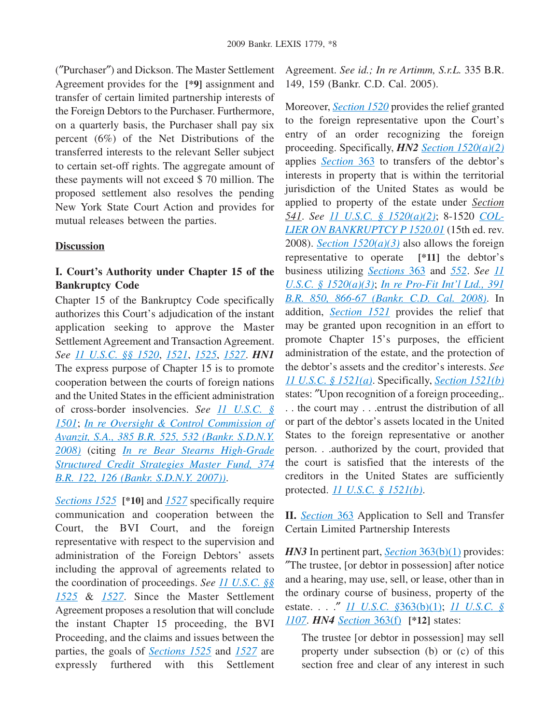(″Purchaser″) and Dickson. The Master Settlement Agreement provides for the **[\*9]** assignment and transfer of certain limited partnership interests of the Foreign Debtors to the Purchaser. Furthermore, on a quarterly basis, the Purchaser shall pay six percent (6%) of the Net Distributions of the transferred interests to the relevant Seller subject to certain set-off rights. The aggregate amount of these payments will not exceed \$ 70 million. The proposed settlement also resolves the pending New York State Court Action and provides for mutual releases between the parties.

### **Discussion**

# **I. Court's Authority under Chapter 15 of the Bankruptcy Code**

Chapter 15 of the Bankruptcy Code specifically authorizes this Court's adjudication of the instant application seeking to approve the Master Settlement Agreement and Transaction Agreement. *See [11 U.S.C. §§ 1520](http://advance.lexis.com/api/document?collection=statutes-legislation&id=urn:contentItem:4YF7-GJ41-NRF4-428B-00000-00&context=1000516)*, *[1521](http://advance.lexis.com/api/document?collection=statutes-legislation&id=urn:contentItem:4YF7-GMH1-NRF4-452N-00000-00&context=1000516)*, *[1525](http://advance.lexis.com/api/document?collection=statutes-legislation&id=urn:contentItem:4YF7-GK11-NRF4-40TY-00000-00&context=1000516)*, *[1527](http://advance.lexis.com/api/document?collection=statutes-legislation&id=urn:contentItem:4YF7-GPT1-NRF4-41VK-00000-00&context=1000516)*. *HN1* The express purpose of Chapter 15 is to promote cooperation between the courts of foreign nations and the United States in the efficient administration of cross-border insolvencies. *See [11 U.S.C. §](http://advance.lexis.com/api/document?collection=statutes-legislation&id=urn:contentItem:4YF7-GJJ1-NRF4-41HW-00000-00&context=1000516) [1501](http://advance.lexis.com/api/document?collection=statutes-legislation&id=urn:contentItem:4YF7-GJJ1-NRF4-41HW-00000-00&context=1000516)*; *[In re Oversight & Control Commission of](http://advance.lexis.com/api/document?collection=cases&id=urn:contentItem:4S9R-F6D0-TXFM-H1WP-00000-00&context=1000516) [Avanzit, S.A., 385 B.R. 525, 532 \(Bankr. S.D.N.Y.](http://advance.lexis.com/api/document?collection=cases&id=urn:contentItem:4S9R-F6D0-TXFM-H1WP-00000-00&context=1000516) [2008\)](http://advance.lexis.com/api/document?collection=cases&id=urn:contentItem:4S9R-F6D0-TXFM-H1WP-00000-00&context=1000516)* (citing *[In re Bear Stearns High-Grade](http://advance.lexis.com/api/document?collection=cases&id=urn:contentItem:4PKY-RSD0-TXFM-H1RC-00000-00&context=1000516) [Structured Credit Strategies Master Fund, 374](http://advance.lexis.com/api/document?collection=cases&id=urn:contentItem:4PKY-RSD0-TXFM-H1RC-00000-00&context=1000516) [B.R. 122, 126 \(Bankr. S.D.N.Y. 2007\)\)](http://advance.lexis.com/api/document?collection=cases&id=urn:contentItem:4PKY-RSD0-TXFM-H1RC-00000-00&context=1000516)*.

*[Sections 1525](http://advance.lexis.com/api/document?collection=statutes-legislation&id=urn:contentItem:4YF7-GK11-NRF4-40TY-00000-00&context=1000516)* **[\*10]** and *[1527](http://advance.lexis.com/api/document?collection=statutes-legislation&id=urn:contentItem:4YF7-GPT1-NRF4-41VK-00000-00&context=1000516)* specifically require communication and cooperation between the Court, the BVI Court, and the foreign representative with respect to the supervision and administration of the Foreign Debtors' assets including the approval of agreements related to the coordination of proceedings. *See [11 U.S.C. §§](http://advance.lexis.com/api/document?collection=statutes-legislation&id=urn:contentItem:4YF7-GK11-NRF4-40TY-00000-00&context=1000516) [1525](http://advance.lexis.com/api/document?collection=statutes-legislation&id=urn:contentItem:4YF7-GK11-NRF4-40TY-00000-00&context=1000516)* & *[1527](http://advance.lexis.com/api/document?collection=statutes-legislation&id=urn:contentItem:4YF7-GPT1-NRF4-41VK-00000-00&context=1000516)*. Since the Master Settlement Agreement proposes a resolution that will conclude the instant Chapter 15 proceeding, the BVI Proceeding, and the claims and issues between the parties, the goals of *[Sections 1525](http://advance.lexis.com/api/document?collection=statutes-legislation&id=urn:contentItem:4YF7-GK11-NRF4-40TY-00000-00&context=1000516)* and *[1527](http://advance.lexis.com/api/document?collection=statutes-legislation&id=urn:contentItem:4YF7-GPT1-NRF4-41VK-00000-00&context=1000516)* are expressly furthered with this Settlement Agreement. *See id.; In re Artimm, S.r.L.* 335 B.R. 149, 159 (Bankr. C.D. Cal. 2005).

Moreover, *[Section 1520](http://advance.lexis.com/api/document?collection=statutes-legislation&id=urn:contentItem:4YF7-GJ41-NRF4-428B-00000-00&context=1000516)* provides the relief granted to the foreign representative upon the Court's entry of an order recognizing the foreign proceeding. Specifically, *HN2 [Section 1520\(a\)\(2\)](http://advance.lexis.com/api/document?collection=statutes-legislation&id=urn:contentItem:4YF7-GJ41-NRF4-428B-00000-00&context=1000516)* applies *[Section](http://advance.lexis.com/api/document?collection=statutes-legislation&id=urn:contentItem:4YF7-GRG1-NRF4-43FD-00000-00&context=1000516)* 363 to transfers of the debtor's interests in property that is within the territorial jurisdiction of the United States as would be applied to property of the estate under *Section 541*. *See [11 U.S.C. § 1520\(a\)\(2\)](http://advance.lexis.com/api/document?collection=statutes-legislation&id=urn:contentItem:4YF7-GJ41-NRF4-428B-00000-00&context=1000516)*; 8-1520 *[COL-](http://advance.lexis.com/api/document?collection=analytical-materials&id=urn:contentItem:51R6-BR20-R03K-R321-00000-00&context=1000516)[LIER ON BANKRUPTCY P 1520.01](http://advance.lexis.com/api/document?collection=analytical-materials&id=urn:contentItem:51R6-BR20-R03K-R321-00000-00&context=1000516)* (15th ed. rev. 2008). *[Section 1520\(a\)\(3\)](http://advance.lexis.com/api/document?collection=statutes-legislation&id=urn:contentItem:4YF7-GJ41-NRF4-428B-00000-00&context=1000516)* also allows the foreign representative to operate **[\*11]** the debtor's business utilizing *[Sections](http://advance.lexis.com/api/document?collection=statutes-legislation&id=urn:contentItem:4YF7-GRG1-NRF4-43FD-00000-00&context=1000516)* 363 and *[552](http://advance.lexis.com/api/document?collection=statutes-legislation&id=urn:contentItem:4YF7-GJB1-NRF4-44K7-00000-00&context=1000516)*. *See [11](http://advance.lexis.com/api/document?collection=statutes-legislation&id=urn:contentItem:4YF7-GJ41-NRF4-428B-00000-00&context=1000516) [U.S.C. § 1520\(a\)\(3\)](http://advance.lexis.com/api/document?collection=statutes-legislation&id=urn:contentItem:4YF7-GJ41-NRF4-428B-00000-00&context=1000516)*; *[In re Pro-Fit Int'l Ltd., 391](http://advance.lexis.com/api/document?collection=cases&id=urn:contentItem:4TSW-PTT0-TXFK-C1V5-00000-00&context=1000516) [B.R. 850, 866-67 \(Bankr. C.D. Cal. 2008\)](http://advance.lexis.com/api/document?collection=cases&id=urn:contentItem:4TSW-PTT0-TXFK-C1V5-00000-00&context=1000516)*. In addition, *[Section 1521](http://advance.lexis.com/api/document?collection=statutes-legislation&id=urn:contentItem:4YF7-GMH1-NRF4-452N-00000-00&context=1000516)* provides the relief that may be granted upon recognition in an effort to promote Chapter 15's purposes, the efficient administration of the estate, and the protection of the debtor's assets and the creditor's interests. *See [11 U.S.C. § 1521\(a\)](http://advance.lexis.com/api/document?collection=statutes-legislation&id=urn:contentItem:4YF7-GMH1-NRF4-452N-00000-00&context=1000516)*. Specifically, *[Section 1521\(b\)](http://advance.lexis.com/api/document?collection=statutes-legislation&id=urn:contentItem:4YF7-GMH1-NRF4-452N-00000-00&context=1000516)* states: ″Upon recognition of a foreign proceeding,. . . the court may . . .entrust the distribution of all or part of the debtor's assets located in the United States to the foreign representative or another person. . .authorized by the court, provided that the court is satisfied that the interests of the creditors in the United States are sufficiently protected. *[11 U.S.C. § 1521\(b\)](http://advance.lexis.com/api/document?collection=statutes-legislation&id=urn:contentItem:4YF7-GMH1-NRF4-452N-00000-00&context=1000516)*.

**II.** *[Section](http://advance.lexis.com/api/document?collection=statutes-legislation&id=urn:contentItem:4YF7-GRG1-NRF4-43FD-00000-00&context=1000516)* 363 Application to Sell and Transfer Certain Limited Partnership Interests

*HN3* In pertinent part, *<u>Section [363\(b\)\(1\)](http://advance.lexis.com/api/document?collection=statutes-legislation&id=urn:contentItem:4YF7-GRG1-NRF4-43FD-00000-00&context=1000516)</u>* provides: ″The trustee, [or debtor in possession] after notice and a hearing, may use, sell, or lease, other than in the ordinary course of business, property of the estate. . . .″ *[11 U.S.C. §](http://advance.lexis.com/api/document?collection=statutes-legislation&id=urn:contentItem:4YF7-GRG1-NRF4-43FD-00000-00&context=1000516)*363(b)(1); *[11 U.S.C. §](http://advance.lexis.com/api/document?collection=statutes-legislation&id=urn:contentItem:4YF7-GWN1-NRF4-42TR-00000-00&context=1000516) [1107](http://advance.lexis.com/api/document?collection=statutes-legislation&id=urn:contentItem:4YF7-GWN1-NRF4-42TR-00000-00&context=1000516)*. *HN4 [Section](http://advance.lexis.com/api/document?collection=statutes-legislation&id=urn:contentItem:4YF7-GRG1-NRF4-43FD-00000-00&context=1000516)* 363(f) **[\*12]** states:

The trustee [or debtor in possession] may sell property under subsection (b) or (c) of this section free and clear of any interest in such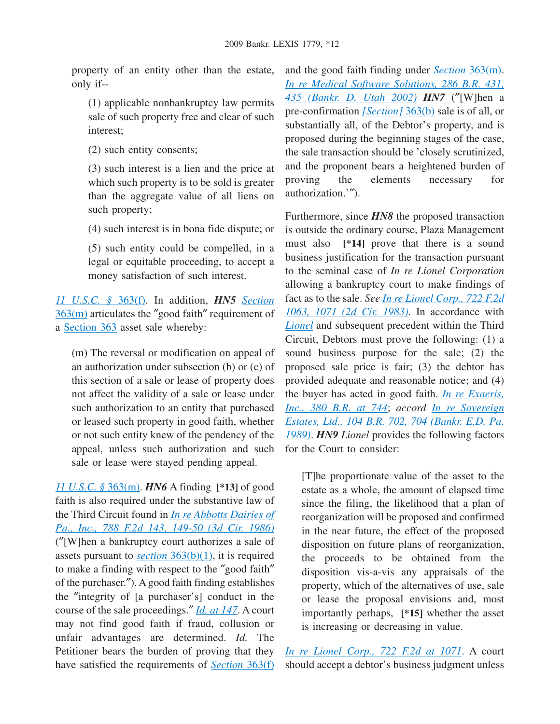property of an entity other than the estate, only if--

(1) applicable nonbankruptcy law permits sale of such property free and clear of such interest;

(2) such entity consents;

(3) such interest is a lien and the price at which such property is to be sold is greater than the aggregate value of all liens on such property;

(4) such interest is in bona fide dispute; or

(5) such entity could be compelled, in a legal or equitable proceeding, to accept a money satisfaction of such interest.

*[11 U.S.C. §](http://advance.lexis.com/api/document?collection=statutes-legislation&id=urn:contentItem:4YF7-GRG1-NRF4-43FD-00000-00&context=1000516)* 363(f). In addition, *HN5 [Section](http://advance.lexis.com/api/document?collection=statutes-legislation&id=urn:contentItem:4YF7-GRG1-NRF4-43FD-00000-00&context=1000516)* [363\(m\)](http://advance.lexis.com/api/document?collection=statutes-legislation&id=urn:contentItem:4YF7-GRG1-NRF4-43FD-00000-00&context=1000516) articulates the ″good faith″ requirement of a [Section 363](http://advance.lexis.com/api/document?collection=statutes-legislation&id=urn:contentItem:4YF7-GRG1-NRF4-43FD-00000-00&context=1000516) asset sale whereby:

(m) The reversal or modification on appeal of an authorization under subsection (b) or (c) of this section of a sale or lease of property does not affect the validity of a sale or lease under such authorization to an entity that purchased or leased such property in good faith, whether or not such entity knew of the pendency of the appeal, unless such authorization and such sale or lease were stayed pending appeal.

*[11 U.S.C. §](http://advance.lexis.com/api/document?collection=statutes-legislation&id=urn:contentItem:4YF7-GRG1-NRF4-43FD-00000-00&context=1000516)* 363(m). *HN6* A finding **[\*13]** of good faith is also required under the substantive law of the Third Circuit found in *[In re Abbotts Dairies of](http://advance.lexis.com/api/document?collection=cases&id=urn:contentItem:3S4X-7470-0039-P4XM-00000-00&context=1000516) [Pa., Inc., 788 F.2d 143, 149-50 \(3d Cir. 1986\)](http://advance.lexis.com/api/document?collection=cases&id=urn:contentItem:3S4X-7470-0039-P4XM-00000-00&context=1000516)* (″[W]hen a bankruptcy court authorizes a sale of assets pursuant to *section* [363\(b\)\(1\),](http://advance.lexis.com/api/document?collection=statutes-legislation&id=urn:contentItem:4YF7-GRG1-NRF4-43FD-00000-00&context=1000516) it is required to make a finding with respect to the ″good faith″ of the purchaser.″). A good faith finding establishes the ″integrity of [a purchaser's] conduct in the course of the sale proceedings.″ *[Id. at 147](http://advance.lexis.com/api/document?collection=cases&id=urn:contentItem:3S4X-7470-0039-P4XM-00000-00&context=1000516)*. A court may not find good faith if fraud, collusion or unfair advantages are determined. *Id.* The Petitioner bears the burden of proving that they have satisfied the requirements of *[Section](http://advance.lexis.com/api/document?collection=statutes-legislation&id=urn:contentItem:4YF7-GRG1-NRF4-43FD-00000-00&context=1000516)* 363(f)

and the good faith finding under *Section* [363\(m\).](http://advance.lexis.com/api/document?collection=statutes-legislation&id=urn:contentItem:4YF7-GRG1-NRF4-43FD-00000-00&context=1000516) *[In re Medical Software Solutions, 286 B.R. 431,](http://advance.lexis.com/api/document?collection=cases&id=urn:contentItem:47ST-9BK0-0039-01NJ-00000-00&context=1000516) [435 \(Bankr. D. Utah 2002\)](http://advance.lexis.com/api/document?collection=cases&id=urn:contentItem:47ST-9BK0-0039-01NJ-00000-00&context=1000516) HN7* (″[W]hen a pre-confirmation *[\[Section\]](http://advance.lexis.com/api/document?collection=statutes-legislation&id=urn:contentItem:4YF7-GRG1-NRF4-43FD-00000-00&context=1000516)* 363(b) sale is of all, or substantially all, of the Debtor's property, and is proposed during the beginning stages of the case, the sale transaction should be 'closely scrutinized, and the proponent bears a heightened burden of proving the elements necessary for authorization.'″).

Furthermore, since *HN8* the proposed transaction is outside the ordinary course, Plaza Management must also **[\*14]** prove that there is a sound business justification for the transaction pursuant to the seminal case of *In re Lionel Corporation* allowing a bankruptcy court to make findings of fact as to the sale. *See [In re Lionel Corp., 722 F.2d](http://advance.lexis.com/api/document?collection=cases&id=urn:contentItem:3S4W-Y3F0-003B-G1SM-00000-00&context=1000516) [1063, 1071 \(2d Cir. 1983\)](http://advance.lexis.com/api/document?collection=cases&id=urn:contentItem:3S4W-Y3F0-003B-G1SM-00000-00&context=1000516)*. In accordance with *[Lionel](http://advance.lexis.com/api/document?collection=cases&id=urn:contentItem:3S4W-Y3F0-003B-G1SM-00000-00&context=1000516)* and subsequent precedent within the Third Circuit, Debtors must prove the following: (1) a sound business purpose for the sale; (2) the proposed sale price is fair; (3) the debtor has provided adequate and reasonable notice; and (4) the buyer has acted in good faith. *[In re Exaeris,](http://advance.lexis.com/api/document?collection=cases&id=urn:contentItem:4RKX-42X0-TXFK-H33Y-00000-00&context=1000516) [Inc., 380 B.R. at 744](http://advance.lexis.com/api/document?collection=cases&id=urn:contentItem:4RKX-42X0-TXFK-H33Y-00000-00&context=1000516)*; *accord [In re Sovereign](http://advance.lexis.com/api/document?collection=cases&id=urn:contentItem:3S4V-K3P0-0039-K4JT-00000-00&context=1000516) [Estates, Ltd., 104 B.R. 702, 704 \(Bankr. E.D. Pa.](http://advance.lexis.com/api/document?collection=cases&id=urn:contentItem:3S4V-K3P0-0039-K4JT-00000-00&context=1000516) [1989\)](http://advance.lexis.com/api/document?collection=cases&id=urn:contentItem:3S4V-K3P0-0039-K4JT-00000-00&context=1000516)*. *HN9 Lionel* provides the following factors for the Court to consider:

[T]he proportionate value of the asset to the estate as a whole, the amount of elapsed time since the filing, the likelihood that a plan of reorganization will be proposed and confirmed in the near future, the effect of the proposed disposition on future plans of reorganization, the proceeds to be obtained from the disposition vis-a-vis any appraisals of the property, which of the alternatives of use, sale or lease the proposal envisions and, most importantly perhaps, **[\*15]** whether the asset is increasing or decreasing in value.

*[In re Lionel Corp., 722 F.2d at 1071](http://advance.lexis.com/api/document?collection=cases&id=urn:contentItem:3S4W-Y3F0-003B-G1SM-00000-00&context=1000516)*. A court should accept a debtor's business judgment unless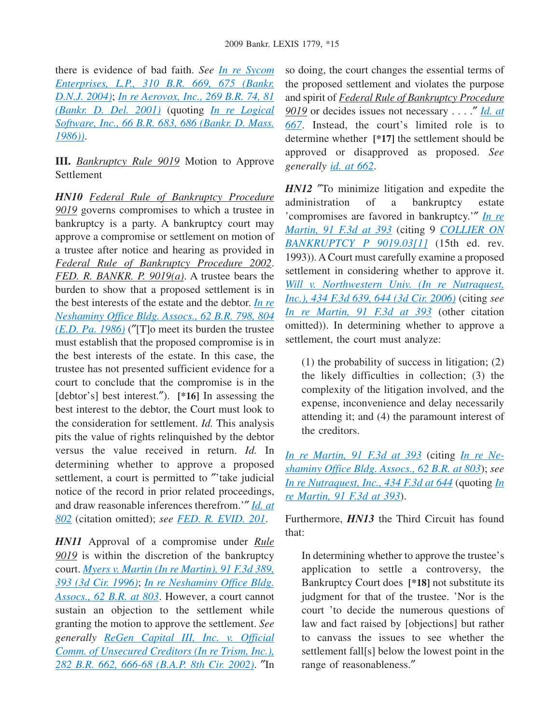there is evidence of bad faith. *See [In re Sycom](http://advance.lexis.com/api/document?collection=cases&id=urn:contentItem:4CPD-9DX0-0039-00N2-00000-00&context=1000516) [Enterprises, L.P., 310 B.R. 669, 675 \(Bankr.](http://advance.lexis.com/api/document?collection=cases&id=urn:contentItem:4CPD-9DX0-0039-00N2-00000-00&context=1000516) [D.N.J. 2004\)](http://advance.lexis.com/api/document?collection=cases&id=urn:contentItem:4CPD-9DX0-0039-00N2-00000-00&context=1000516)*; *[In re Aerovox, Inc., 269 B.R. 74, 81](http://advance.lexis.com/api/document?collection=cases&id=urn:contentItem:44FM-WN50-0039-03MY-00000-00&context=1000516) [\(Bankr. D. Del. 2001\)](http://advance.lexis.com/api/document?collection=cases&id=urn:contentItem:44FM-WN50-0039-03MY-00000-00&context=1000516)* (quoting *[In re Logical](http://advance.lexis.com/api/document?collection=cases&id=urn:contentItem:3S4V-MVN0-0039-K3FD-00000-00&context=1000516) [Software, Inc., 66 B.R. 683, 686 \(Bankr. D. Mass.](http://advance.lexis.com/api/document?collection=cases&id=urn:contentItem:3S4V-MVN0-0039-K3FD-00000-00&context=1000516) [1986\)\)](http://advance.lexis.com/api/document?collection=cases&id=urn:contentItem:3S4V-MVN0-0039-K3FD-00000-00&context=1000516)*.

**III.** *Bankruptcy Rule 9019* Motion to Approve Settlement

*HN10 Federal Rule of Bankruptcy Procedure 9019* governs compromises to which a trustee in bankruptcy is a party. A bankruptcy court may approve a compromise or settlement on motion of a trustee after notice and hearing as provided in *Federal Rule of Bankruptcy Procedure 2002*. *FED. R. BANKR. P. 9019(a)*. A trustee bears the burden to show that a proposed settlement is in the best interests of the estate and the debtor. *[In re](http://advance.lexis.com/api/document?collection=cases&id=urn:contentItem:3S4N-98R0-0039-R00B-00000-00&context=1000516) [Neshaminy Office Bldg. Assocs., 62 B.R. 798, 804](http://advance.lexis.com/api/document?collection=cases&id=urn:contentItem:3S4N-98R0-0039-R00B-00000-00&context=1000516) [\(E.D. Pa. 1986\)](http://advance.lexis.com/api/document?collection=cases&id=urn:contentItem:3S4N-98R0-0039-R00B-00000-00&context=1000516)* (″[T]o meet its burden the trustee must establish that the proposed compromise is in the best interests of the estate. In this case, the trustee has not presented sufficient evidence for a court to conclude that the compromise is in the [debtor's] best interest.″). **[\*16]** In assessing the best interest to the debtor, the Court must look to the consideration for settlement. *Id.* This analysis pits the value of rights relinquished by the debtor versus the value received in return. *Id.* In determining whether to approve a proposed settlement, a court is permitted to "'take judicial notice of the record in prior related proceedings, and draw reasonable inferences therefrom.'″ *[Id. at](http://advance.lexis.com/api/document?collection=cases&id=urn:contentItem:3S4N-98R0-0039-R00B-00000-00&context=1000516) [802](http://advance.lexis.com/api/document?collection=cases&id=urn:contentItem:3S4N-98R0-0039-R00B-00000-00&context=1000516)* (citation omitted); *see [FED. R. EVID. 201](http://advance.lexis.com/api/document?collection=statutes-legislation&id=urn:contentItem:4YF7-GM41-NRF4-4120-00000-00&context=1000516)*.

*HN11* Approval of a compromise under *Rule 9019* is within the discretion of the bankruptcy court. *[Myers v. Martin \(In re Martin\), 91 F.3d 389,](http://advance.lexis.com/api/document?collection=cases&id=urn:contentItem:3S4X-2CC0-006F-M1WF-00000-00&context=1000516) [393 \(3d Cir. 1996\)](http://advance.lexis.com/api/document?collection=cases&id=urn:contentItem:3S4X-2CC0-006F-M1WF-00000-00&context=1000516)*; *[In re Neshaminy Office Bldg.](http://advance.lexis.com/api/document?collection=cases&id=urn:contentItem:3S4N-98R0-0039-R00B-00000-00&context=1000516) [Assocs., 62 B.R. at 803](http://advance.lexis.com/api/document?collection=cases&id=urn:contentItem:3S4N-98R0-0039-R00B-00000-00&context=1000516)*. However, a court cannot sustain an objection to the settlement while granting the motion to approve the settlement. *See generally [ReGen Capital III, Inc. v. Official](http://advance.lexis.com/api/document?collection=cases&id=urn:contentItem:46SF-6030-0039-00K0-00000-00&context=1000516) [Comm. of Unsecured Creditors \(In re Trism, Inc.\),](http://advance.lexis.com/api/document?collection=cases&id=urn:contentItem:46SF-6030-0039-00K0-00000-00&context=1000516) [282 B.R. 662, 666-68 \(B.A.P. 8th Cir. 2002\)](http://advance.lexis.com/api/document?collection=cases&id=urn:contentItem:46SF-6030-0039-00K0-00000-00&context=1000516)*. ″In so doing, the court changes the essential terms of the proposed settlement and violates the purpose and spirit of *Federal Rule of Bankruptcy Procedure 9019* or decides issues not necessary . . . .″ *[Id. at](http://advance.lexis.com/api/document?collection=cases&id=urn:contentItem:46SF-6030-0039-00K0-00000-00&context=1000516) [667](http://advance.lexis.com/api/document?collection=cases&id=urn:contentItem:46SF-6030-0039-00K0-00000-00&context=1000516)*. Instead, the court's limited role is to determine whether **[\*17]** the settlement should be approved or disapproved as proposed. *See generally [id. at 662](http://advance.lexis.com/api/document?collection=cases&id=urn:contentItem:46SF-6030-0039-00K0-00000-00&context=1000516)*.

*HN12* ″To minimize litigation and expedite the administration of a bankruptcy estate 'compromises are favored in bankruptcy.'″ *[In re](http://advance.lexis.com/api/document?collection=cases&id=urn:contentItem:3S4X-2CC0-006F-M1WF-00000-00&context=1000516) [Martin, 91 F.3d at 393](http://advance.lexis.com/api/document?collection=cases&id=urn:contentItem:3S4X-2CC0-006F-M1WF-00000-00&context=1000516)* (citing 9 *[COLLIER ON](http://advance.lexis.com/api/document?collection=analytical-materials&id=urn:contentItem:51R6-CVS0-R03N-21RH-00000-00&context=1000516) [BANKRUPTCY P 9019.03\[1\]](http://advance.lexis.com/api/document?collection=analytical-materials&id=urn:contentItem:51R6-CVS0-R03N-21RH-00000-00&context=1000516)* (15th ed. rev. 1993)). A Court must carefully examine a proposed settlement in considering whether to approve it. *[Will v. Northwestern Univ. \(In re Nutraquest,](http://advance.lexis.com/api/document?collection=cases&id=urn:contentItem:4J33-C400-0038-X277-00000-00&context=1000516) [Inc.\), 434 F.3d 639, 644 \(3d Cir. 2006\)](http://advance.lexis.com/api/document?collection=cases&id=urn:contentItem:4J33-C400-0038-X277-00000-00&context=1000516)* (citing *see [In re Martin, 91 F.3d at 393](http://advance.lexis.com/api/document?collection=cases&id=urn:contentItem:3S4X-2CC0-006F-M1WF-00000-00&context=1000516)* (other citation omitted)). In determining whether to approve a settlement, the court must analyze:

(1) the probability of success in litigation; (2) the likely difficulties in collection; (3) the complexity of the litigation involved, and the expense, inconvenience and delay necessarily attending it; and (4) the paramount interest of the creditors.

*[In re Martin, 91 F.3d at 393](http://advance.lexis.com/api/document?collection=cases&id=urn:contentItem:3S4X-2CC0-006F-M1WF-00000-00&context=1000516)* (citing *[In re Ne](http://advance.lexis.com/api/document?collection=cases&id=urn:contentItem:3S4N-98R0-0039-R00B-00000-00&context=1000516)[shaminy Office Bldg. Assocs., 62 B.R. at 803](http://advance.lexis.com/api/document?collection=cases&id=urn:contentItem:3S4N-98R0-0039-R00B-00000-00&context=1000516)*); *see [In re Nutraquest, Inc., 434 F.3d at 644](http://advance.lexis.com/api/document?collection=cases&id=urn:contentItem:4J33-C400-0038-X277-00000-00&context=1000516)* (quoting *[In](http://advance.lexis.com/api/document?collection=cases&id=urn:contentItem:3S4X-2CC0-006F-M1WF-00000-00&context=1000516) [re Martin, 91 F.3d at 393](http://advance.lexis.com/api/document?collection=cases&id=urn:contentItem:3S4X-2CC0-006F-M1WF-00000-00&context=1000516)*).

Furthermore, *HN13* the Third Circuit has found that:

In determining whether to approve the trustee's application to settle a controversy, the Bankruptcy Court does **[\*18]** not substitute its judgment for that of the trustee. 'Nor is the court 'to decide the numerous questions of law and fact raised by [objections] but rather to canvass the issues to see whether the settlement fall[s] below the lowest point in the range of reasonableness.″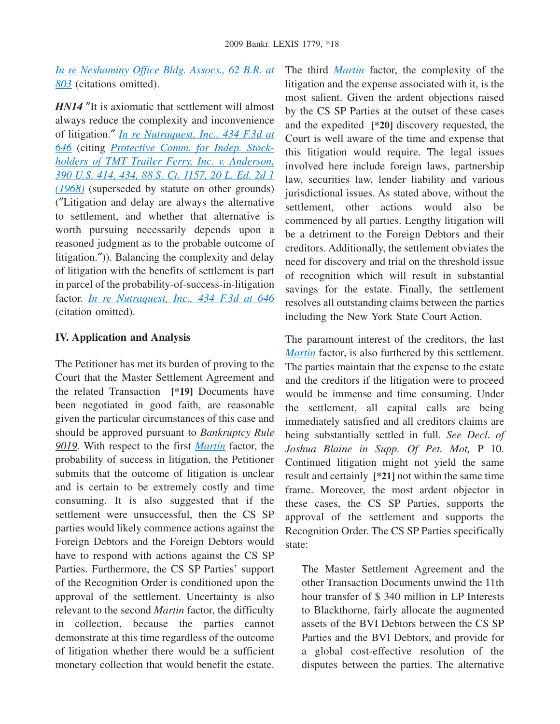*[In re Neshaminy Office Bldg. Assocs., 62 B.R. at](http://advance.lexis.com/api/document?collection=cases&id=urn:contentItem:3S4N-98R0-0039-R00B-00000-00&context=1000516) [803](http://advance.lexis.com/api/document?collection=cases&id=urn:contentItem:3S4N-98R0-0039-R00B-00000-00&context=1000516)* (citations omitted).

*HN14* "It is axiomatic that settlement will almost always reduce the complexity and inconvenience of litigation.″ *[In re Nutraquest, Inc., 434 F.3d at](http://advance.lexis.com/api/document?collection=cases&id=urn:contentItem:4J33-C400-0038-X277-00000-00&context=1000516) [646](http://advance.lexis.com/api/document?collection=cases&id=urn:contentItem:4J33-C400-0038-X277-00000-00&context=1000516)* (citing *[Protective Comm. for Indep. Stock](http://advance.lexis.com/api/document?collection=cases&id=urn:contentItem:3S4X-FMS0-003B-S18P-00000-00&context=1000516)[holders of TMT Trailer Ferry, Inc. v. Anderson,](http://advance.lexis.com/api/document?collection=cases&id=urn:contentItem:3S4X-FMS0-003B-S18P-00000-00&context=1000516) [390 U.S. 414, 434, 88 S. Ct. 1157, 20 L. Ed. 2d 1](http://advance.lexis.com/api/document?collection=cases&id=urn:contentItem:3S4X-FMS0-003B-S18P-00000-00&context=1000516) [\(1968\)](http://advance.lexis.com/api/document?collection=cases&id=urn:contentItem:3S4X-FMS0-003B-S18P-00000-00&context=1000516)* (superseded by statute on other grounds) (″Litigation and delay are always the alternative to settlement, and whether that alternative is worth pursuing necessarily depends upon a reasoned judgment as to the probable outcome of litigation.″)). Balancing the complexity and delay of litigation with the benefits of settlement is part in parcel of the probability-of-success-in-litigation factor. *[In re Nutraquest, Inc., 434 F.3d at 646](http://advance.lexis.com/api/document?collection=cases&id=urn:contentItem:4J33-C400-0038-X277-00000-00&context=1000516)* (citation omitted).

### **IV. Application and Analysis**

The Petitioner has met its burden of proving to the Court that the Master Settlement Agreement and the related Transaction **[\*19]** Documents have been negotiated in good faith, are reasonable given the particular circumstances of this case and should be approved pursuant to *Bankruptcy Rule 9019*. With respect to the first *[Martin](http://advance.lexis.com/api/document?collection=cases&id=urn:contentItem:3S4X-2CC0-006F-M1WF-00000-00&context=1000516)* factor, the probability of success in litigation, the Petitioner submits that the outcome of litigation is unclear and is certain to be extremely costly and time consuming. It is also suggested that if the settlement were unsuccessful, then the CS SP parties would likely commence actions against the Foreign Debtors and the Foreign Debtors would have to respond with actions against the CS SP Parties. Furthermore, the CS SP Parties' support of the Recognition Order is conditioned upon the approval of the settlement. Uncertainty is also relevant to the second *Martin* factor, the difficulty in collection, because the parties cannot demonstrate at this time regardless of the outcome of litigation whether there would be a sufficient monetary collection that would benefit the estate. The third *[Martin](http://advance.lexis.com/api/document?collection=cases&id=urn:contentItem:3S4X-2CC0-006F-M1WF-00000-00&context=1000516)* factor, the complexity of the litigation and the expense associated with it, is the most salient. Given the ardent objections raised by the CS SP Parties at the outset of these cases and the expedited **[\*20]** discovery requested, the Court is well aware of the time and expense that this litigation would require. The legal issues involved here include foreign laws, partnership law, securities law, lender liability and various jurisdictional issues. As stated above, without the settlement, other actions would also be commenced by all parties. Lengthy litigation will be a detriment to the Foreign Debtors and their creditors. Additionally, the settlement obviates the need for discovery and trial on the threshold issue of recognition which will result in substantial savings for the estate. Finally, the settlement resolves all outstanding claims between the parties including the New York State Court Action.

The paramount interest of the creditors, the last *[Martin](http://advance.lexis.com/api/document?collection=cases&id=urn:contentItem:3S4X-2CC0-006F-M1WF-00000-00&context=1000516)* factor, is also furthered by this settlement. The parties maintain that the expense to the estate and the creditors if the litigation were to proceed would be immense and time consuming. Under the settlement, all capital calls are being immediately satisfied and all creditors claims are being substantially settled in full. *See Decl. of Joshua Blaine in Supp. Of Pet. Mot,* P 10. Continued litigation might not yield the same result and certainly **[\*21]** not within the same time frame. Moreover, the most ardent objector in these cases, the CS SP Parties, supports the approval of the settlement and supports the Recognition Order. The CS SP Parties specifically state:

The Master Settlement Agreement and the other Transaction Documents unwind the 11th hour transfer of \$ 340 million in LP Interests to Blackthorne, fairly allocate the augmented assets of the BVI Debtors between the CS SP Parties and the BVI Debtors, and provide for a global cost-effective resolution of the disputes between the parties. The alternative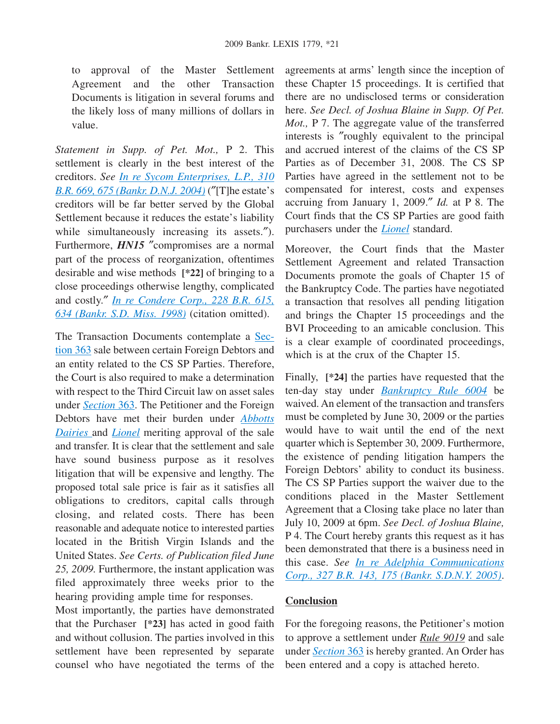to approval of the Master Settlement Agreement and the other Transaction Documents is litigation in several forums and the likely loss of many millions of dollars in value.

*Statement in Supp. of Pet. Mot.,* P 2. This settlement is clearly in the best interest of the creditors. *See [In re Sycom Enterprises, L.P., 310](http://advance.lexis.com/api/document?collection=cases&id=urn:contentItem:4CPD-9DX0-0039-00N2-00000-00&context=1000516) [B.R. 669, 675 \(Bankr. D.N.J. 2004\)](http://advance.lexis.com/api/document?collection=cases&id=urn:contentItem:4CPD-9DX0-0039-00N2-00000-00&context=1000516)* (″[T]he estate's creditors will be far better served by the Global Settlement because it reduces the estate's liability while simultaneously increasing its assets.″). Furthermore, *HN15* "compromises are a normal part of the process of reorganization, oftentimes desirable and wise methods **[\*22]** of bringing to a close proceedings otherwise lengthy, complicated and costly.″ *[In re Condere Corp., 228 B.R. 615,](http://advance.lexis.com/api/document?collection=cases&id=urn:contentItem:3VNY-1SY0-0039-00GG-00000-00&context=1000516) [634 \(Bankr. S.D. Miss. 1998\)](http://advance.lexis.com/api/document?collection=cases&id=urn:contentItem:3VNY-1SY0-0039-00GG-00000-00&context=1000516)* (citation omitted).

The Transaction Documents contemplate a [Sec](http://advance.lexis.com/api/document?collection=statutes-legislation&id=urn:contentItem:4YF7-GRG1-NRF4-43FD-00000-00&context=1000516)[tion 363](http://advance.lexis.com/api/document?collection=statutes-legislation&id=urn:contentItem:4YF7-GRG1-NRF4-43FD-00000-00&context=1000516) sale between certain Foreign Debtors and an entity related to the CS SP Parties. Therefore, the Court is also required to make a determination with respect to the Third Circuit law on asset sales under *[Section](http://advance.lexis.com/api/document?collection=statutes-legislation&id=urn:contentItem:4YF7-GRG1-NRF4-43FD-00000-00&context=1000516)* 363. The Petitioner and the Foreign Debtors have met their burden under *[Abbotts](http://advance.lexis.com/api/document?collection=cases&id=urn:contentItem:3S4X-7470-0039-P4XM-00000-00&context=1000516) [Dairies](http://advance.lexis.com/api/document?collection=cases&id=urn:contentItem:3S4X-7470-0039-P4XM-00000-00&context=1000516)* and *[Lionel](http://advance.lexis.com/api/document?collection=cases&id=urn:contentItem:3S4W-Y3F0-003B-G1SM-00000-00&context=1000516)* meriting approval of the sale and transfer. It is clear that the settlement and sale have sound business purpose as it resolves litigation that will be expensive and lengthy. The proposed total sale price is fair as it satisfies all obligations to creditors, capital calls through closing, and related costs. There has been reasonable and adequate notice to interested parties located in the British Virgin Islands and the United States. *See Certs. of Publication filed June 25, 2009.* Furthermore, the instant application was filed approximately three weeks prior to the hearing providing ample time for responses.

Most importantly, the parties have demonstrated that the Purchaser **[\*23]** has acted in good faith and without collusion. The parties involved in this settlement have been represented by separate counsel who have negotiated the terms of the agreements at arms' length since the inception of these Chapter 15 proceedings. It is certified that there are no undisclosed terms or consideration here. *See Decl. of Joshua Blaine in Supp. Of Pet. Mot.,* P 7. The aggregate value of the transferred interests is ″roughly equivalent to the principal and accrued interest of the claims of the CS SP Parties as of December 31, 2008. The CS SP Parties have agreed in the settlement not to be compensated for interest, costs and expenses accruing from January 1, 2009.″ *Id.* at P 8. The Court finds that the CS SP Parties are good faith purchasers under the *[Lionel](http://advance.lexis.com/api/document?collection=cases&id=urn:contentItem:3S4W-Y3F0-003B-G1SM-00000-00&context=1000516)* standard.

Moreover, the Court finds that the Master Settlement Agreement and related Transaction Documents promote the goals of Chapter 15 of the Bankruptcy Code. The parties have negotiated a transaction that resolves all pending litigation and brings the Chapter 15 proceedings and the BVI Proceeding to an amicable conclusion. This is a clear example of coordinated proceedings, which is at the crux of the Chapter 15.

Finally, **[\*24]** the parties have requested that the ten-day stay under *[Bankruptcy Rule 6004](http://advance.lexis.com/api/document?collection=statutes-legislation&id=urn:contentItem:4YF7-GHY1-NRF4-40J5-00000-00&context=1000516)* be waived. An element of the transaction and transfers must be completed by June 30, 2009 or the parties would have to wait until the end of the next quarter which is September 30, 2009. Furthermore, the existence of pending litigation hampers the Foreign Debtors' ability to conduct its business. The CS SP Parties support the waiver due to the conditions placed in the Master Settlement Agreement that a Closing take place no later than July 10, 2009 at 6pm. *See Decl. of Joshua Blaine,* P 4. The Court hereby grants this request as it has been demonstrated that there is a business need in this case. *See [In re Adelphia Communications](http://advance.lexis.com/api/document?collection=cases&id=urn:contentItem:4G7D-KXX0-TVXN-F2M0-00000-00&context=1000516) [Corp., 327 B.R. 143, 175 \(Bankr. S.D.N.Y. 2005\)](http://advance.lexis.com/api/document?collection=cases&id=urn:contentItem:4G7D-KXX0-TVXN-F2M0-00000-00&context=1000516)*.

## **Conclusion**

For the foregoing reasons, the Petitioner's motion to approve a settlement under *Rule 9019* and sale under *[Section](http://advance.lexis.com/api/document?collection=statutes-legislation&id=urn:contentItem:4YF7-GRG1-NRF4-43FD-00000-00&context=1000516)* 363 is hereby granted. An Order has been entered and a copy is attached hereto.